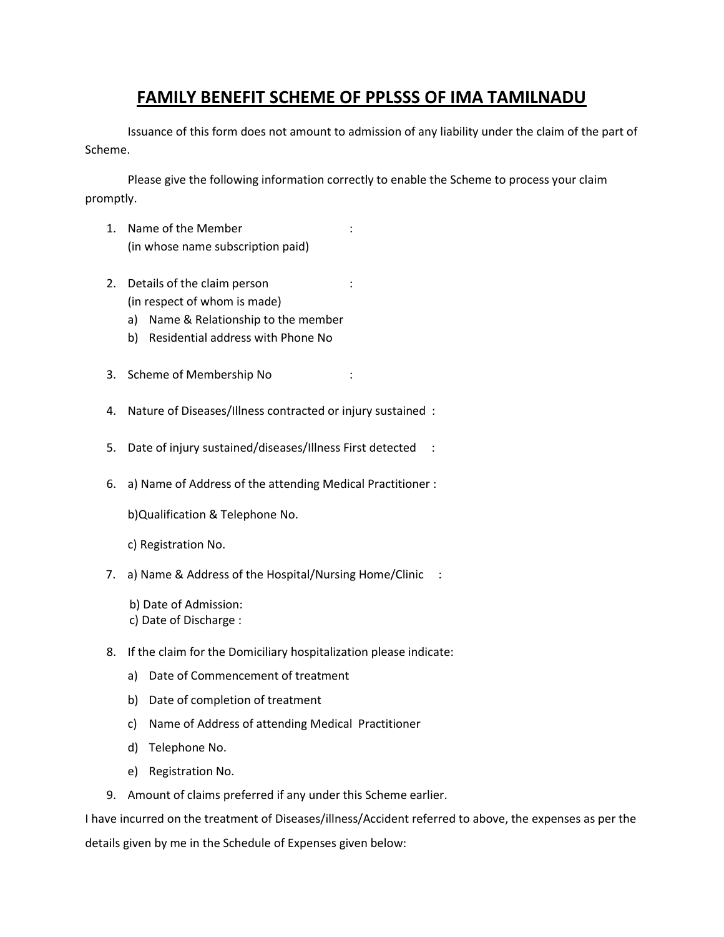# **FAMILY BENEFIT SCHEME OF PPLSSS OF IMA TAMILNADU**

Issuance of this form does not amount to admission of any liability under the claim of the part of Scheme.

Please give the following information correctly to enable the Scheme to process your claim promptly.

- 1. Name of the Member : (in whose name subscription paid)
- 2. Details of the claim person : (in respect of whom is made)
	- a) Name & Relationship to the member
	- b) Residential address with Phone No
- 3. Scheme of Membership No :
- 4. Nature of Diseases/Illness contracted or injury sustained :
- 5. Date of injury sustained/diseases/Illness First detected :
- 6. a) Name of Address of the attending Medical Practitioner :

b)Qualification & Telephone No.

c) Registration No.

- 7. a) Name & Address of the Hospital/Nursing Home/Clinic :
	- b) Date of Admission:
	- c) Date of Discharge :
- 8. If the claim for the Domiciliary hospitalization please indicate:
	- a) Date of Commencement of treatment
	- b) Date of completion of treatment
	- c) Name of Address of attending Medical Practitioner
	- d) Telephone No.
	- e) Registration No.
- 9. Amount of claims preferred if any under this Scheme earlier.

I have incurred on the treatment of Diseases/illness/Accident referred to above, the expenses as per the details given by me in the Schedule of Expenses given below: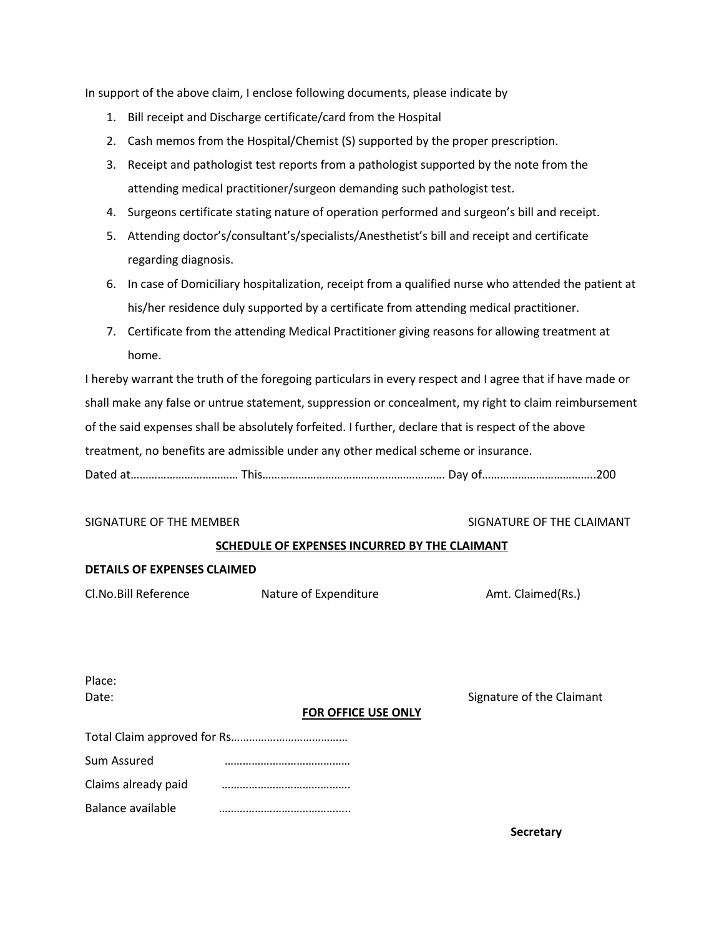In support of the above claim, I enclose following documents, please indicate by

- 1. Bill receipt and Discharge certificate/card from the Hospital
- 2. Cash memos from the Hospital/Chemist (S) supported by the proper prescription.
- 3. Receipt and pathologist test reports from a pathologist supported by the note from the attending medical practitioner/surgeon demanding such pathologist test.
- 4. Surgeons certificate stating nature of operation performed and surgeon's bill and receipt.
- 5. Attending doctor's/consultant's/specialists/Anesthetist's bill and receipt and certificate regarding diagnosis.
- 6. In case of Domiciliary hospitalization, receipt from a qualified nurse who attended the patient at his/her residence duly supported by a certificate from attending medical practitioner.
- 7. Certificate from the attending Medical Practitioner giving reasons for allowing treatment at home.

I hereby warrant the truth of the foregoing particulars in every respect and I agree that if have made or shall make any false or untrue statement, suppression or concealment, my right to claim reimbursement of the said expenses shall be absolutely forfeited. I further, declare that is respect of the above treatment, no benefits are admissible under any other medical scheme or insurance.

Dated at……………………………… This……………………………………………………. Day of………………………………..200

#### SIGNATURE OF THE MEMBER SIGNATURE OF THE CLAIMANT

### **SCHEDULE OF EXPENSES INCURRED BY THE CLAIMANT**

#### **DETAILS OF EXPENSES CLAIMED**

Cl.No.Bill Reference **Nature of Expenditure** Amt. Claimed(Rs.)

Signature of the Claimant

| Place: |
|--------|
| Date:  |

#### **FOR OFFICE USE ONLY**

| Sum Assured         |  |  |
|---------------------|--|--|
| Claims already paid |  |  |
| Balance available   |  |  |

**Secretary**